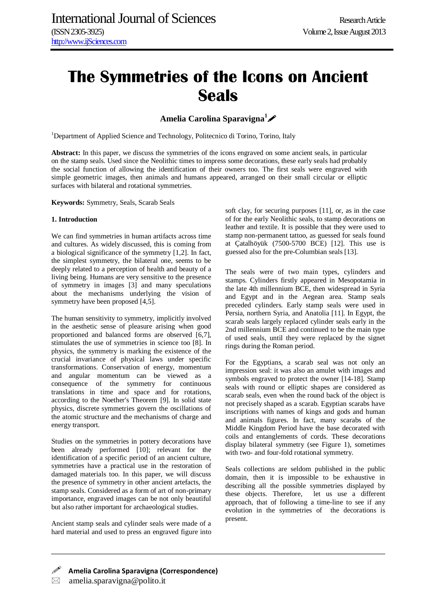# **The Symmetries of the Icons on Ancient Seals**

**Amelia Carolina Sparavigna<sup>1</sup>**

<sup>1</sup>Department of Applied Science and Technology, Politecnico di Torino, Torino, Italy

**Abstract:** In this paper, we discuss the symmetries of the icons engraved on some ancient seals, in particular on the stamp seals. Used since the Neolithic times to impress some decorations, these early seals had probably the social function of allowing the identification of their owners too. The first seals were engraved with simple geometric images, then animals and humans appeared, arranged on their small circular or elliptic surfaces with bilateral and rotational symmetries.

**Keywords:** Symmetry, Seals, Scarab Seals

## **1. Introduction**

We can find symmetries in human artifacts across time and cultures. As widely discussed, this is coming from a biological significance of the symmetry [1,2]. In fact, the simplest symmetry, the bilateral one, seems to be deeply related to a perception of health and beauty of a living being. Humans are very sensitive to the presence of symmetry in images [3] and many speculations about the mechanisms underlying the vision of symmetry have been proposed [4,5].

The human sensitivity to symmetry, implicitly involved in the aesthetic sense of pleasure arising when good proportioned and balanced forms are observed [6,7], stimulates the use of symmetries in science too [8]. In physics, the symmetry is marking the existence of the crucial invariance of physical laws under specific transformations. Conservation of energy, momentum and angular momentum can be viewed as a consequence of the symmetry for continuous translations in time and space and for rotations, according to the Noether's Theorem [9]. In solid state physics, discrete symmetries govern the oscillations of the atomic structure and the mechanisms of charge and energy transport.

Studies on the symmetries in pottery decorations have been already performed [10]; relevant for the identification of a specific period of an ancient culture, symmetries have a practical use in the restoration of damaged materials too. In this paper, we will discuss the presence of symmetry in other ancient artefacts, the stamp seals. Considered as a form of art of non-primary importance, engraved images can be not only beautiful but also rather important for archaeological studies.

Ancient stamp seals and cylinder seals were made of a hard material and used to press an engraved figure into soft clay, for securing purposes [11], or, as in the case of for the early Neolithic seals, to stamp decorations on leather and textile. It is possible that they were used to stamp non-permanent tattoo, as guessed for seals found at Çatalhöyük (7500-5700 BCE) [12]. This use is guessed also for the pre-Columbian seals [13].

The seals were of two main types, cylinders and stamps. Cylinders firstly appeared in Mesopotamia in the late 4th millennium BCE, then widespread in Syria and Egypt and in the Aegean area. Stamp seals preceded cylinders. Early stamp seals were used in Persia, northern Syria, and Anatolia [11]. In Egypt, the scarab seals largely replaced cylinder seals early in the 2nd millennium BCE and continued to be the main type of used seals, until they were replaced by the signet rings during the Roman period.

For the Egyptians, a scarab seal was not only an impression seal: it was also an amulet with images and symbols engraved to protect the owner [14-18]. Stamp seals with round or elliptic shapes are considered as scarab seals, even when the round back of the object is not precisely shaped as a scarab. Egyptian scarabs have inscriptions with names of kings and gods and human and animals figures. In fact, many scarabs of the Middle Kingdom Period have the base decorated with coils and entanglements of cords. These decorations display bilateral symmetry (see Figure 1), sometimes with two- and four-fold rotational symmetry.

Seals collections are seldom published in the public domain, then it is impossible to be exhaustive in describing all the possible symmetries displayed by these objects. Therefore, let us use a different approach, that of following a time-line to see if any evolution in the symmetries of the decorations is present.

 **Amelia Carolina Sparavigna (Correspondence)**  $\boxtimes$  amelia.sparavigna@polito.it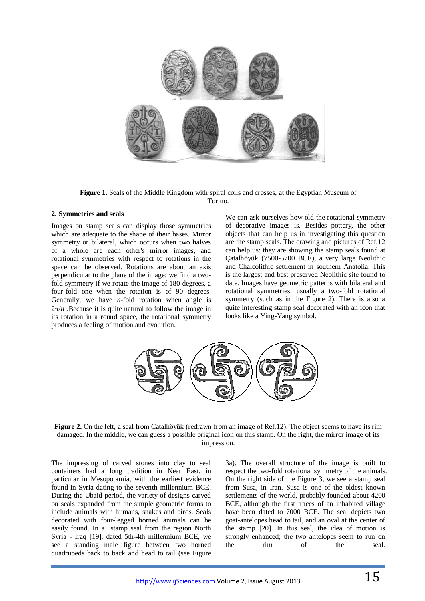

**Figure 1**. Seals of the Middle Kingdom with spiral coils and crosses, at the Egyptian Museum of Torino.

## **2. Symmetries and seals**

Images on stamp seals can display those symmetries which are adequate to the shape of their bases. Mirror symmetry or bilateral, which occurs when two halves of a whole are each other's mirror images, and rotational symmetries with respect to rotations in the space can be observed. Rotations are about an axis perpendicular to the plane of the image: we find a twofold symmetry if we rotate the image of 180 degrees, a four-fold one when the rotation is of 90 degrees. Generally, we have *n*-fold rotation when angle is  $2\pi/n$ . Because it is quite natural to follow the image in its rotation in a round space, the rotational symmetry produces a feeling of motion and evolution.

We can ask ourselves how old the rotational symmetry of decorative images is. Besides pottery, the other objects that can help us in investigating this question are the stamp seals. The drawing and pictures of Ref.12 can help us: they are showing the stamp seals found at Çatalhöyük (7500-5700 BCE), a very large Neolithic and Chalcolithic settlement in southern Anatolia. This is the largest and best preserved Neolithic site found to date. Images have geometric patterns with bilateral and rotational symmetries, usually a two-fold rotational symmetry (such as in the Figure 2). There is also a quite interesting stamp seal decorated with an icon that looks like a Ying-Yang symbol.



**Figure 2.** On the left, a seal from Catalhöyük (redrawn from an image of Ref.12). The object seems to have its rim damaged. In the middle, we can guess a possible original icon on this stamp. On the right, the mirror image of its impression.

The impressing of carved stones into clay to seal containers had a long tradition in Near East, in particular in Mesopotamia, with the earliest evidence found in Syria dating to the seventh millennium BCE. During the Ubaid period, the variety of designs carved on seals expanded from the simple geometric forms to include animals with humans, snakes and birds. Seals decorated with four-legged horned animals can be easily found. In a stamp seal from the region North Syria - Iraq [19], dated 5th-4th millennium BCE, we see a standing male figure between two horned quadrupeds back to back and head to tail (see Figure

3a). The overall structure of the image is built to respect the two-fold rotational symmetry of the animals. On the right side of the Figure 3, we see a stamp seal from Susa, in Iran. Susa is one of the oldest known settlements of the world, probably founded about 4200 BCE, although the first traces of an inhabited village have been dated to 7000 BCE. The seal depicts two goat-antelopes head to tail, and an oval at the center of the stamp [20]. In this seal, the idea of motion is strongly enhanced; the two antelopes seem to run on the rim of the seal.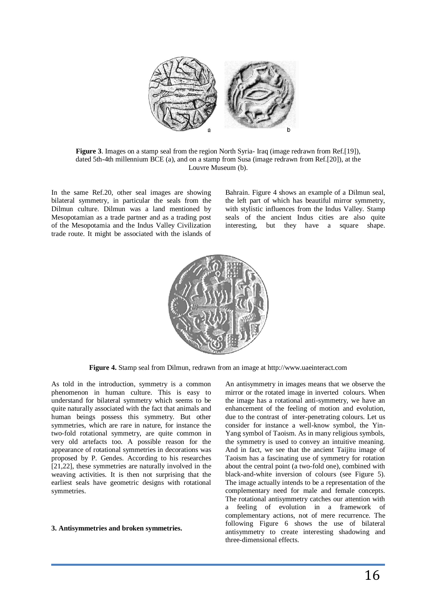

**Figure 3**. Images on a stamp seal from the region North Syria- Iraq (image redrawn from Ref.[19]), dated 5th-4th millennium BCE (a), and on a stamp from Susa (image redrawn from Ref.[20]), at the Louvre Museum (b).

In the same Ref.20, other seal images are showing bilateral symmetry, in particular the seals from the Dilmun culture. Dilmun was a land mentioned by Mesopotamian as a trade partner and as a trading post of the Mesopotamia and the Indus Valley Civilization trade route. It might be associated with the islands of Bahrain. Figure 4 shows an example of a Dilmun seal, the left part of which has beautiful mirror symmetry, with stylistic influences from the Indus Valley. Stamp seals of the ancient Indus cities are also quite interesting, but they have a square shape.



**Figure 4.** Stamp seal from Dilmun, redrawn from an image at http://www.uaeinteract.com

As told in the introduction, symmetry is a common phenomenon in human culture. This is easy to understand for bilateral symmetry which seems to be quite naturally associated with the fact that animals and human beings possess this symmetry. But other symmetries, which are rare in nature, for instance the two-fold rotational symmetry, are quite common in very old artefacts too. A possible reason for the appearance of rotational symmetries in decorations was proposed by P. Gendes. According to his researches [21,22], these symmetries are naturally involved in the weaving activities. It is then not surprising that the earliest seals have geometric designs with rotational symmetries.

#### **3. Antisymmetries and broken symmetries.**

An antisymmetry in images means that we observe the mirror or the rotated image in inverted colours. When the image has a rotational anti-symmetry, we have an enhancement of the feeling of motion and evolution, due to the contrast of inter-penetrating colours. Let us consider for instance a well-know symbol, the Yin-Yang symbol of Taoism. As in many religious symbols, the symmetry is used to convey an intuitive meaning. And in fact, we see that the ancient Taijitu image of Taoism has a fascinating use of symmetry for rotation about the central point (a two-fold one), combined with black-and-white inversion of colours (see Figure 5). The image actually intends to be a representation of the complementary need for male and female concepts. The rotational antisymmetry catches our attention with a feeling of evolution in a framework of complementary actions, not of mere recurrence. The following Figure 6 shows the use of bilateral antisymmetry to create interesting shadowing and three-dimensional effects.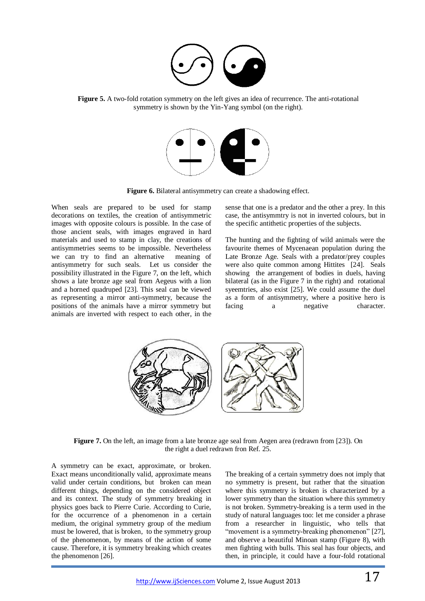

**Figure 5.** A two-fold rotation symmetry on the left gives an idea of recurrence. The anti-rotational symmetry is shown by the Yin-Yang symbol (on the right).



**Figure 6.** Bilateral antisymmetry can create a shadowing effect.

When seals are prepared to be used for stamp decorations on textiles, the creation of antisymmetric images with opposite colours is possible. In the case of those ancient seals, with images engraved in hard materials and used to stamp in clay, the creations of antisymmetries seems to be impossible. Nevertheless we can try to find an alternative meaning of antisymmetry for such seals. Let us consider the possibility illustrated in the Figure 7, on the left, which shows a late bronze age seal from Aegeus with a lion and a horned quadruped [23]. This seal can be viewed as representing a mirror anti-symmetry, because the positions of the animals have a mirror symmetry but animals are inverted with respect to each other, in the

sense that one is a predator and the other a prey. In this case, the antisymmtry is not in inverted colours, but in the specific antithetic properties of the subjects.

The hunting and the fighting of wild animals were the favourite themes of Mycenaean population during the Late Bronze Age. Seals with a predator/prey couples were also quite common among Hittites [24]. Seals showing the arrangement of bodies in duels, having bilateral (as in the Figure 7 in the right) and rotational syeemtries, also exist [25]. We could assume the duel as a form of antisymmetry, where a positive hero is facing a negative character.



**Figure 7.** On the left, an image from a late bronze age seal from Aegen area (redrawn from [23]). On the right a duel redrawn fron Ref. 25.

A symmetry can be exact, approximate, or broken. Exact means unconditionally valid, approximate means valid under certain conditions, but broken can mean different things, depending on the considered object and its context. The study of symmetry breaking in physics goes back to Pierre Curie. According to Curie, for the occurrence of a phenomenon in a certain medium, the original symmetry group of the medium must be lowered, that is broken, to the symmetry group of the phenomenon, by means of the action of some cause. Therefore, it is symmetry breaking which creates the phenomenon [26].

The breaking of a certain symmetry does not imply that no symmetry is present, but rather that the situation where this symmetry is broken is characterized by a lower symmetry than the situation where this symmetry is not broken. Symmetry-breaking is a term used in the study of natural languages too: let me consider a phrase from a researcher in linguistic, who tells that "movement is a symmetry-breaking phenomenon" [27], and observe a beautiful Minoan stamp (Figure 8), with men fighting with bulls. This seal has four objects, and then, in principle, it could have a four-fold rotational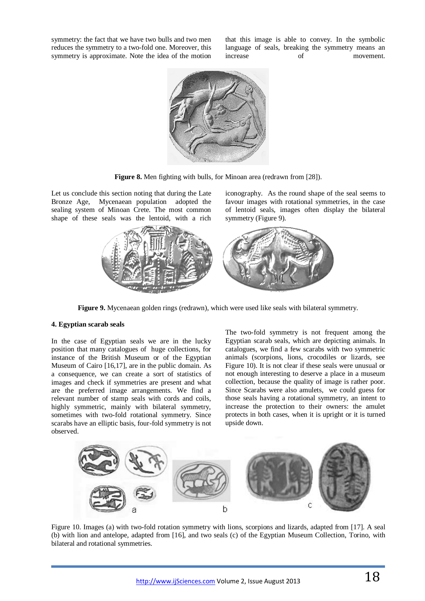symmetry: the fact that we have two bulls and two men reduces the symmetry to a two-fold one. Moreover, this symmetry is approximate. Note the idea of the motion

that this image is able to convey. In the symbolic language of seals, breaking the symmetry means an increase of movement.

iconography. As the round shape of the seal seems to favour images with rotational symmetries, in the case of lentoid seals, images often display the bilateral



**Figure 8.** Men fighting with bulls, for Minoan area (redrawn from [28]).

symmetry (Figure 9).

Let us conclude this section noting that during the Late Bronze Age, Mycenaean population adopted the sealing system of Minoan Crete. The most common shape of these seals was the lentoid, with a rich



**Figure 9.** Mycenaean golden rings (redrawn), which were used like seals with bilateral symmetry.

## **4. Egyptian scarab seals**

In the case of Egyptian seals we are in the lucky position that many catalogues of huge collections, for instance of the British Museum or of the Egyptian Museum of Cairo [16,17], are in the public domain. As a consequence, we can create a sort of statistics of images and check if symmetries are present and what are the preferred image arrangements. We find a relevant number of stamp seals with cords and coils, highly symmetric, mainly with bilateral symmetry, sometimes with two-fold rotational symmetry. Since scarabs have an elliptic basis, four-fold symmetry is not observed.

The two-fold symmetry is not frequent among the Egyptian scarab seals, which are depicting animals. In catalogues, we find a few scarabs with two symmetric animals (scorpions, lions, crocodiles or lizards, see Figure 10). It is not clear if these seals were unusual or not enough interesting to deserve a place in a museum collection, because the quality of image is rather poor. Since Scarabs were also amulets, we could guess for those seals having a rotational symmetry, an intent to increase the protection to their owners: the amulet protects in both cases, when it is upright or it is turned upside down.



Figure 10. Images (a) with two-fold rotation symmetry with lions, scorpions and lizards, adapted from [17]. A seal (b) with lion and antelope, adapted from [16], and two seals (c) of the Egyptian Museum Collection, Torino, with bilateral and rotational symmetries.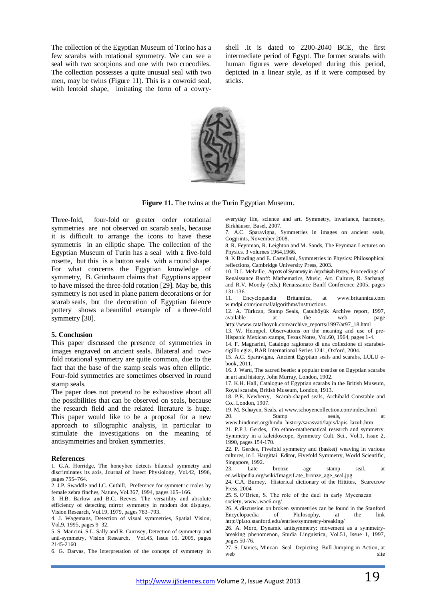The collection of the Egyptian Museum of Torino has a few scarabs with rotational symmetry. We can see a seal with two scorpions and one with two crocodiles. The collection possesses a quite unusual seal with two men, may be twins (Figure 11). This is a cowroid seal, with lentoid shape, imitating the form of a cowryshell .It is dated to 2200-2040 BCE, the first intermediate period of Egypt. The former scarabs with human figures were developed during this period, depicted in a linear style, as if it were composed by sticks.



**Figure 11.** The twins at the Turin Egyptian Museum.

Three-fold, four-fold or greater order rotational symmetries are not observed on scarab seals, because it is difficult to arrange the icons to have these symmetris in an elliptic shape. The collection of the Egyptian Museum of Turin has a seal with a five-fold rosette, but this is a button seals with a round shape. For what concerns the Egyptian knowledge of symmetry, B. Grünbaum claims that Egyptians appear to have missed the three-fold rotation [29]. May be, this symmetry is not used in plane pattern decorations or for scarab seals, but the decoration of Egyptian faience pottery shows a beautiful example of a three-fold symmetry [30].

#### **5. Conclusion**

This paper discussed the presence of symmetries in images engraved on ancient seals. Bilateral and twofold rotational symmetry are quite common, due to the fact that the base of the stamp seals was often elliptic. Four-fold symmetries are sometimes observed in round stamp seals.

The paper does not pretend to be exhaustive about all the possibilities that can be observed on seals, because the research field and the related literature is huge. This paper would like to be a proposal for a new approach to sillographic analysis, in particular to stimulate the investigations on the meaning of antisymmetries and broken symmetries.

#### **References**

1. G.A. Horridge, The honeybee detects bilateral symmetry and discriminates its axis, Journal of Insect Physiology, Vol.42, 1996, pages 755–764.

2. J.P. Swaddle and I.C. Cuthill, Preference for symmetric males by female zebra finches, Nature**,** Vol.367, 1994, pages 165–166.

3. H.B. Barlow and B.C. Reeves, The versatility and absolute efficiency of detecting mirror symmetry in random dot displays, Vision Research, Vol.19, 1979, pages 783–793.

4. J. Wagemans, Detection of visual symmetries, Spatial Vision, Vol**.**9**,** 1995, pages 9–32.

5. S. Mancini, S.L. Sally and R. Gurnsey, Detection of symmetry and anti-symmetry, Vision Research, Vol.45, Issue 16, 2005, pages 2145-2160

6. G. Darvas, The interpretation of the concept of symmetry in

everyday life, science and art. Symmetry, invariance, harmony, Birkhäuser, Basel, 2007.

7. A.C. Sparavigna, Symmetries in images on ancient seals, Cogprints, November 2008.

8. R. Feynman, R. Leighton and M. Sands, The Feynman Lectures on Physics. 3 volumes 1964,1966.

9. K Brading and E. Castellani, Symmetries in Physics: Philosophical reflections, Cambridge University Press, 2003.

10. D.J. Melville, Aspects of Symmetry in Arpachiyah Pottery, Proceedings of Renaissance Banff: Mathematics, Music, Art. Culture, R. Sarhangi and R.V. Moody (eds.) Renaissance Banff Conference 2005, pages 131-136.

11. Encyclopaedia Britannica, at www.britannica.com w.mdpi.com/journal/algorithms/instructions.

12. A. Türkcan, Stamp Seals*,* Çatalhöyük Archive report, 1997, available at the web page

http://www.catalhoyuk.com/archive\_reports/1997/ar97\_18.html 13. W. Heimpel, Observations on the meaning and use of pre-

Hispanic Mexican stamps, Texas Notes, Vol.60, 1964, pages 1-4. 14. F. Magnarini, Catalogo ragionato di una collezione di scarabei-

sigillo egizi, BAR International Series 1241, Oxford, 2004.

15. A.C. Sparavigna, Ancient Egyptian seals and scarabs, LULU ebook, 2011.

16. J. Ward, The sacred beetle: a popular treatise on Egyptian scarabs in art and history, John Murray, London, 1902.

17. K.H. Hall, Catalogue of Egyptian scarabs in the British Museum, Royal scarabs, British Museum, London, 1913.

18. P.E. Newberry, Scarab-shaped seals, Archibald Constable and Co., London, 1907.

19. M. Schøyen, Seals, at www.schoyencollection.com/index.html 20. Stamp seals, at

www.hindunet.org/hindu\_history/sarasvati/lapis/lapis\_lazuli.htm 21. P.P.J. Gerdes, On ethno-mathematical research and symmetry.

Symmetry in a kaleidoscope, Symmetry Cult. Sci*.*, Vol.1, Issue 2, 1990, pages 154-170.

22. P. Gerdes, Fivefold symmetry and (basket) weaving in various cultures, in I. Hargittai Editor, Fivefold Symmetry, World Scientific, Singapore, 1992.

23. Late bronze age stamp seal, at en.wikipedia.org/wiki/Image:Late\_bronze\_age\_seal.jpg

24. C.A. Burney, Historical dictionary of the Hittites, Scarecrow Press, 2004

25. S. O'Brien, S. The role of the duel in early Mycenaean society, www..wac6.org/

26. A discussion on broken symmetries can be found in the Stanford Encyclopaedia of Philosophy, at the link

http://plato.stanford.edu/entries/symmetry-breaking/ 26. A. Moro, Dynamic antisymmetry: movement as a symmetrybreaking phenomenon, Studia Linguistica, Vol.51, Issue 1, 1997,

pages 50-76. 27. S. Davies, Minoan Seal Depicting Bull-Jumping in Action, at

web site